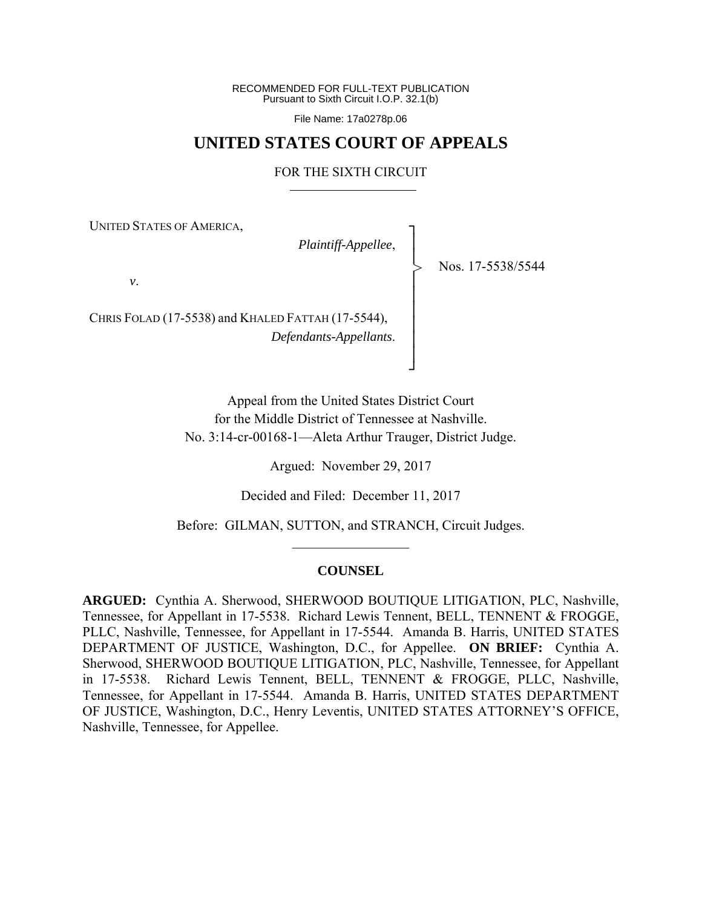RECOMMENDED FOR FULL-TEXT PUBLICATION Pursuant to Sixth Circuit I.O.P. 32.1(b)

File Name: 17a0278p.06

# **UNITED STATES COURT OF APPEALS**

#### FOR THE SIXTH CIRCUIT

UNITED STATES OF AMERICA,

*Plaintiff-Appellee*,

┐ │ │ │ │ │ │ │ │ ┘

>

Nos. 17-5538/5544

*v*.

CHRIS FOLAD (17-5538) and KHALED FATTAH (17-5544), *Defendants-Appellants*.

> Appeal from the United States District Court for the Middle District of Tennessee at Nashville. No. 3:14-cr-00168-1—Aleta Arthur Trauger, District Judge.

> > Argued: November 29, 2017

Decided and Filed: December 11, 2017

Before: GILMAN, SUTTON, and STRANCH, Circuit Judges.  $\frac{1}{2}$ 

### **COUNSEL**

**ARGUED:** Cynthia A. Sherwood, SHERWOOD BOUTIQUE LITIGATION, PLC, Nashville, Tennessee, for Appellant in 17-5538. Richard Lewis Tennent, BELL, TENNENT & FROGGE, PLLC, Nashville, Tennessee, for Appellant in 17-5544. Amanda B. Harris, UNITED STATES DEPARTMENT OF JUSTICE, Washington, D.C., for Appellee. **ON BRIEF:** Cynthia A. Sherwood, SHERWOOD BOUTIQUE LITIGATION, PLC, Nashville, Tennessee, for Appellant in 17-5538. Richard Lewis Tennent, BELL, TENNENT & FROGGE, PLLC, Nashville, Tennessee, for Appellant in 17-5544. Amanda B. Harris, UNITED STATES DEPARTMENT OF JUSTICE, Washington, D.C., Henry Leventis, UNITED STATES ATTORNEY'S OFFICE, Nashville, Tennessee, for Appellee.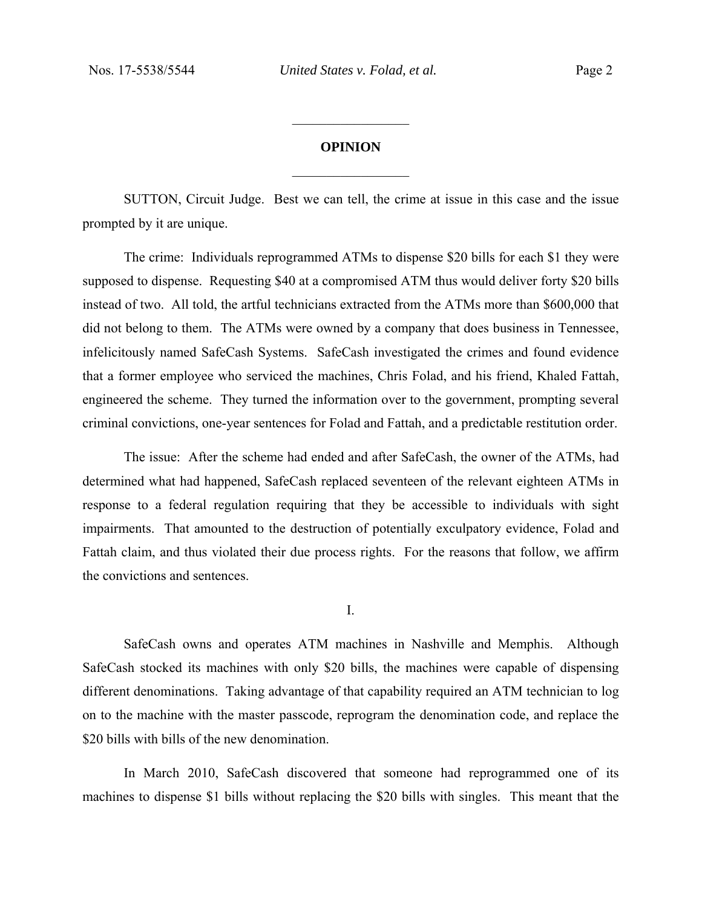## **OPINION**

 $\frac{1}{2}$ 

 $\frac{1}{2}$ 

SUTTON, Circuit Judge. Best we can tell, the crime at issue in this case and the issue prompted by it are unique.

The crime: Individuals reprogrammed ATMs to dispense \$20 bills for each \$1 they were supposed to dispense. Requesting \$40 at a compromised ATM thus would deliver forty \$20 bills instead of two. All told, the artful technicians extracted from the ATMs more than \$600,000 that did not belong to them. The ATMs were owned by a company that does business in Tennessee, infelicitously named SafeCash Systems. SafeCash investigated the crimes and found evidence that a former employee who serviced the machines, Chris Folad, and his friend, Khaled Fattah, engineered the scheme. They turned the information over to the government, prompting several criminal convictions, one-year sentences for Folad and Fattah, and a predictable restitution order.

The issue: After the scheme had ended and after SafeCash, the owner of the ATMs, had determined what had happened, SafeCash replaced seventeen of the relevant eighteen ATMs in response to a federal regulation requiring that they be accessible to individuals with sight impairments. That amounted to the destruction of potentially exculpatory evidence, Folad and Fattah claim, and thus violated their due process rights. For the reasons that follow, we affirm the convictions and sentences.

I.

 SafeCash owns and operates ATM machines in Nashville and Memphis. Although SafeCash stocked its machines with only \$20 bills, the machines were capable of dispensing different denominations. Taking advantage of that capability required an ATM technician to log on to the machine with the master passcode, reprogram the denomination code, and replace the \$20 bills with bills of the new denomination.

 In March 2010, SafeCash discovered that someone had reprogrammed one of its machines to dispense \$1 bills without replacing the \$20 bills with singles. This meant that the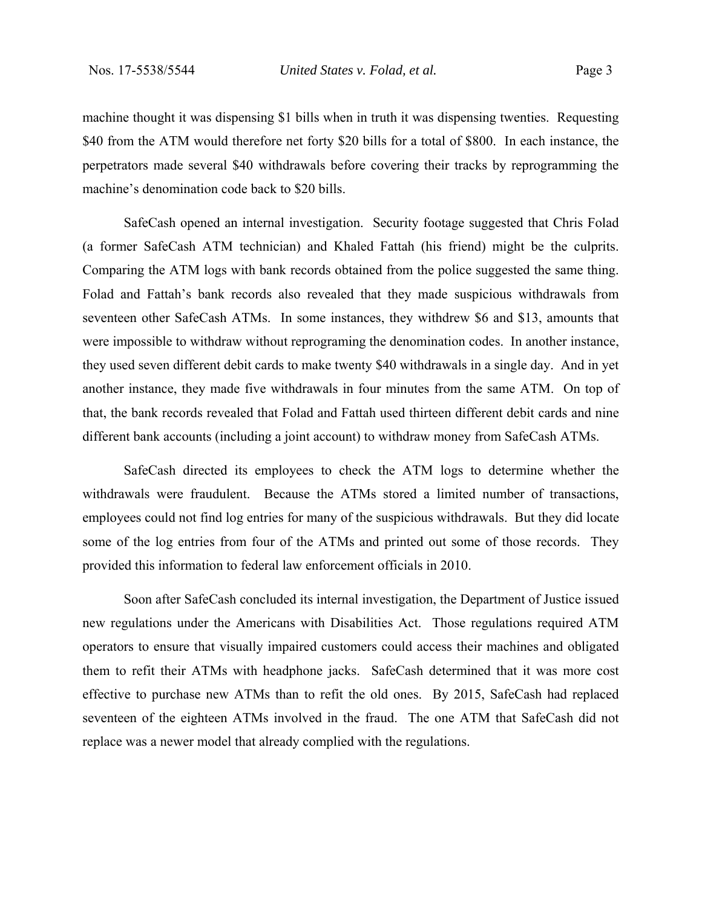machine thought it was dispensing \$1 bills when in truth it was dispensing twenties. Requesting \$40 from the ATM would therefore net forty \$20 bills for a total of \$800. In each instance, the perpetrators made several \$40 withdrawals before covering their tracks by reprogramming the machine's denomination code back to \$20 bills.

 SafeCash opened an internal investigation. Security footage suggested that Chris Folad (a former SafeCash ATM technician) and Khaled Fattah (his friend) might be the culprits. Comparing the ATM logs with bank records obtained from the police suggested the same thing. Folad and Fattah's bank records also revealed that they made suspicious withdrawals from seventeen other SafeCash ATMs. In some instances, they withdrew \$6 and \$13, amounts that were impossible to withdraw without reprograming the denomination codes. In another instance, they used seven different debit cards to make twenty \$40 withdrawals in a single day. And in yet another instance, they made five withdrawals in four minutes from the same ATM. On top of that, the bank records revealed that Folad and Fattah used thirteen different debit cards and nine different bank accounts (including a joint account) to withdraw money from SafeCash ATMs.

SafeCash directed its employees to check the ATM logs to determine whether the withdrawals were fraudulent. Because the ATMs stored a limited number of transactions, employees could not find log entries for many of the suspicious withdrawals. But they did locate some of the log entries from four of the ATMs and printed out some of those records. They provided this information to federal law enforcement officials in 2010.

Soon after SafeCash concluded its internal investigation, the Department of Justice issued new regulations under the Americans with Disabilities Act. Those regulations required ATM operators to ensure that visually impaired customers could access their machines and obligated them to refit their ATMs with headphone jacks. SafeCash determined that it was more cost effective to purchase new ATMs than to refit the old ones. By 2015, SafeCash had replaced seventeen of the eighteen ATMs involved in the fraud. The one ATM that SafeCash did not replace was a newer model that already complied with the regulations.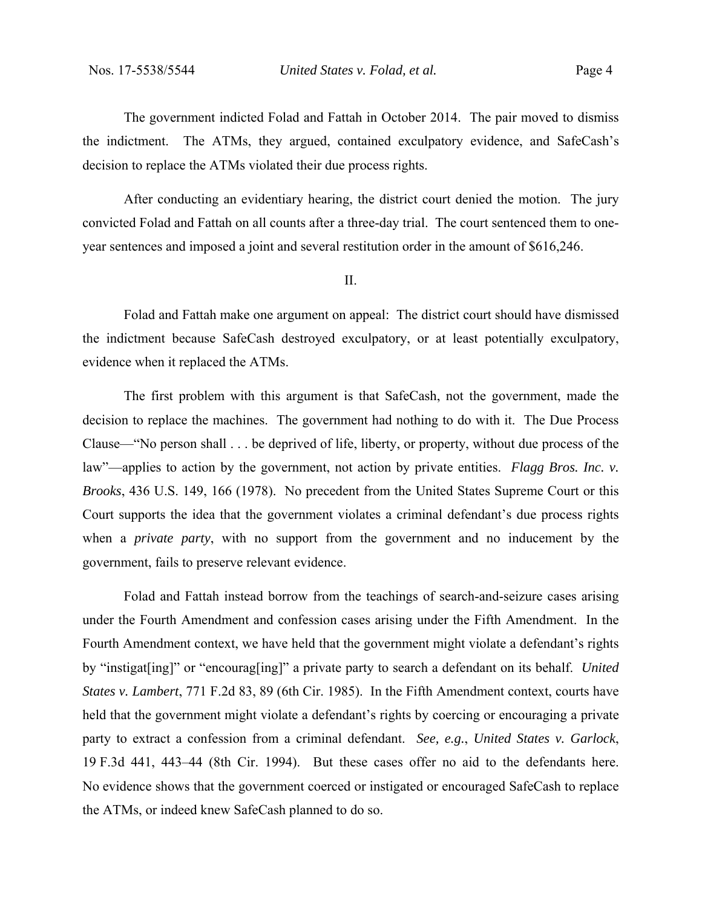The government indicted Folad and Fattah in October 2014. The pair moved to dismiss the indictment. The ATMs, they argued, contained exculpatory evidence, and SafeCash's decision to replace the ATMs violated their due process rights.

After conducting an evidentiary hearing, the district court denied the motion. The jury convicted Folad and Fattah on all counts after a three-day trial. The court sentenced them to oneyear sentences and imposed a joint and several restitution order in the amount of \$616,246.

#### II.

 Folad and Fattah make one argument on appeal: The district court should have dismissed the indictment because SafeCash destroyed exculpatory, or at least potentially exculpatory, evidence when it replaced the ATMs.

The first problem with this argument is that SafeCash, not the government, made the decision to replace the machines. The government had nothing to do with it. The Due Process Clause—"No person shall . . . be deprived of life, liberty, or property, without due process of the law"—applies to action by the government, not action by private entities. *Flagg Bros. Inc. v. Brooks*, 436 U.S. 149, 166 (1978). No precedent from the United States Supreme Court or this Court supports the idea that the government violates a criminal defendant's due process rights when a *private party*, with no support from the government and no inducement by the government, fails to preserve relevant evidence.

Folad and Fattah instead borrow from the teachings of search-and-seizure cases arising under the Fourth Amendment and confession cases arising under the Fifth Amendment. In the Fourth Amendment context, we have held that the government might violate a defendant's rights by "instigat[ing]" or "encourag[ing]" a private party to search a defendant on its behalf. *United States v. Lambert*, 771 F.2d 83, 89 (6th Cir. 1985).In the Fifth Amendment context, courts have held that the government might violate a defendant's rights by coercing or encouraging a private party to extract a confession from a criminal defendant. *See, e.g.*, *United States v. Garlock*, 19 F.3d 441, 443–44 (8th Cir. 1994). But these cases offer no aid to the defendants here. No evidence shows that the government coerced or instigated or encouraged SafeCash to replace the ATMs, or indeed knew SafeCash planned to do so.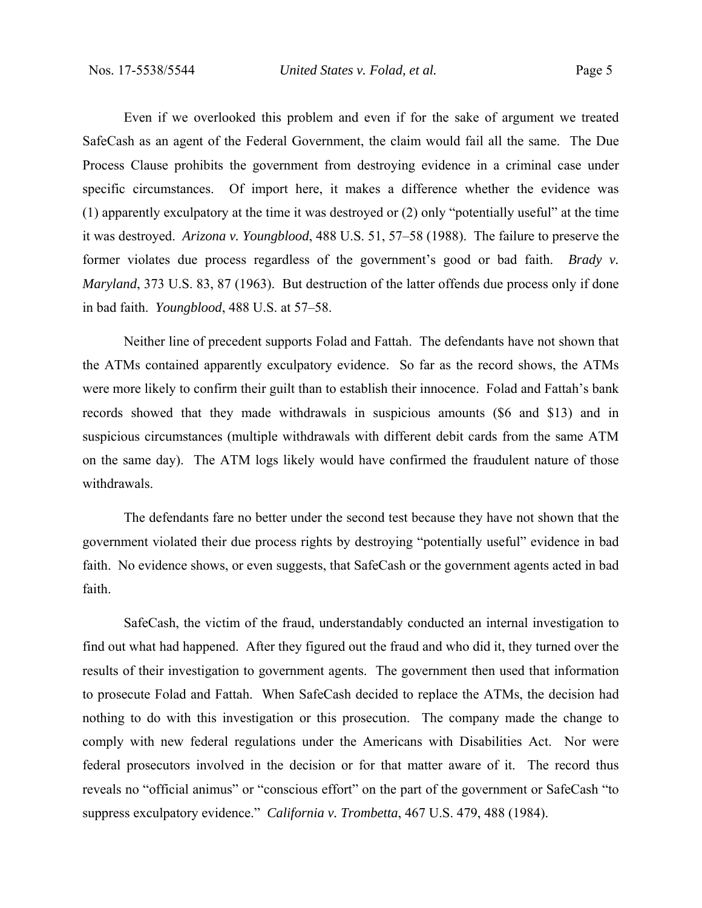Even if we overlooked this problem and even if for the sake of argument we treated SafeCash as an agent of the Federal Government, the claim would fail all the same. The Due Process Clause prohibits the government from destroying evidence in a criminal case under specific circumstances. Of import here, it makes a difference whether the evidence was (1) apparently exculpatory at the time it was destroyed or (2) only "potentially useful" at the time it was destroyed. *Arizona v. Youngblood*, 488 U.S. 51, 57–58 (1988). The failure to preserve the former violates due process regardless of the government's good or bad faith. *Brady v. Maryland*, 373 U.S. 83, 87 (1963). But destruction of the latter offends due process only if done in bad faith. *Youngblood*, 488 U.S. at 57–58.

 Neither line of precedent supports Folad and Fattah. The defendants have not shown that the ATMs contained apparently exculpatory evidence. So far as the record shows, the ATMs were more likely to confirm their guilt than to establish their innocence. Folad and Fattah's bank records showed that they made withdrawals in suspicious amounts (\$6 and \$13) and in suspicious circumstances (multiple withdrawals with different debit cards from the same ATM on the same day). The ATM logs likely would have confirmed the fraudulent nature of those withdrawals.

The defendants fare no better under the second test because they have not shown that the government violated their due process rights by destroying "potentially useful" evidence in bad faith. No evidence shows, or even suggests, that SafeCash or the government agents acted in bad faith.

SafeCash, the victim of the fraud, understandably conducted an internal investigation to find out what had happened. After they figured out the fraud and who did it, they turned over the results of their investigation to government agents. The government then used that information to prosecute Folad and Fattah. When SafeCash decided to replace the ATMs, the decision had nothing to do with this investigation or this prosecution. The company made the change to comply with new federal regulations under the Americans with Disabilities Act. Nor were federal prosecutors involved in the decision or for that matter aware of it. The record thus reveals no "official animus" or "conscious effort" on the part of the government or SafeCash "to suppress exculpatory evidence." *California v. Trombetta*, 467 U.S. 479, 488 (1984).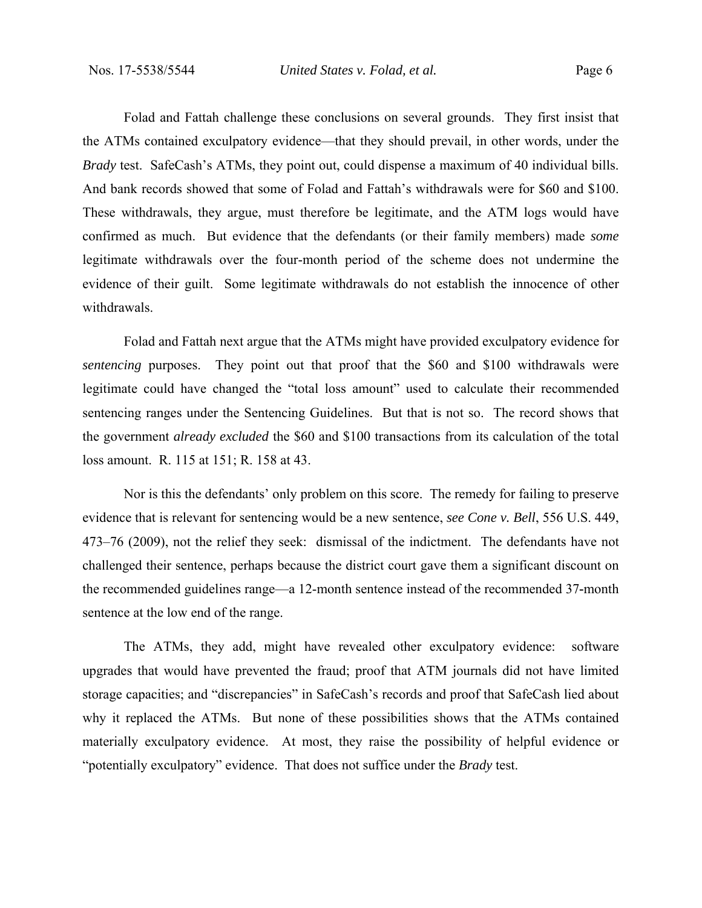Folad and Fattah challenge these conclusions on several grounds. They first insist that the ATMs contained exculpatory evidence—that they should prevail, in other words, under the *Brady* test. SafeCash's ATMs, they point out, could dispense a maximum of 40 individual bills. And bank records showed that some of Folad and Fattah's withdrawals were for \$60 and \$100. These withdrawals, they argue, must therefore be legitimate, and the ATM logs would have confirmed as much. But evidence that the defendants (or their family members) made *some*  legitimate withdrawals over the four-month period of the scheme does not undermine the evidence of their guilt. Some legitimate withdrawals do not establish the innocence of other withdrawals.

Folad and Fattah next argue that the ATMs might have provided exculpatory evidence for *sentencing* purposes. They point out that proof that the \$60 and \$100 withdrawals were legitimate could have changed the "total loss amount" used to calculate their recommended sentencing ranges under the Sentencing Guidelines. But that is not so. The record shows that the government *already excluded* the \$60 and \$100 transactions from its calculation of the total loss amount. R. 115 at 151; R. 158 at 43.

Nor is this the defendants' only problem on this score. The remedy for failing to preserve evidence that is relevant for sentencing would be a new sentence, *see Cone v. Bell*, 556 U.S. 449, 473–76 (2009), not the relief they seek: dismissal of the indictment. The defendants have not challenged their sentence, perhaps because the district court gave them a significant discount on the recommended guidelines range—a 12-month sentence instead of the recommended 37**-**month sentence at the low end of the range.

The ATMs, they add, might have revealed other exculpatory evidence: software upgrades that would have prevented the fraud; proof that ATM journals did not have limited storage capacities; and "discrepancies" in SafeCash's records and proof that SafeCash lied about why it replaced the ATMs. But none of these possibilities shows that the ATMs contained materially exculpatory evidence. At most, they raise the possibility of helpful evidence or "potentially exculpatory" evidence. That does not suffice under the *Brady* test.